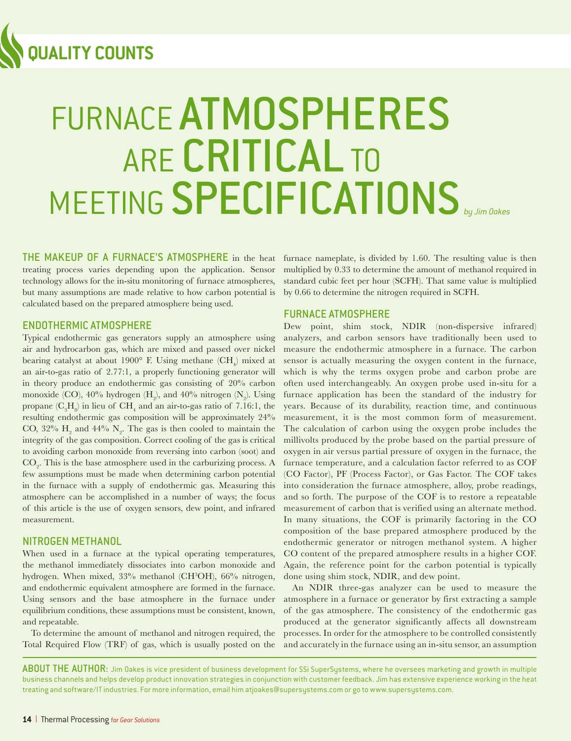

# FURNACE ATMOSPHERES ARE CRITICAL TO MEETING SPECIFICATIONS *by Jim Oakes*

THE MAKEUP OF A FURNACE'S ATMOSPHERE in the heat treating process varies depending upon the application. Sensor technology allows for the in-situ monitoring of furnace atmospheres, but many assumptions are made relative to how carbon potential is calculated based on the prepared atmosphere being used.

#### ENDOTHERMIC ATMOSPHERE

Typical endothermic gas generators supply an atmosphere using air and hydrocarbon gas, which are mixed and passed over nickel bearing catalyst at about  $1900^{\circ}$  F. Using methane  $(\mathrm{CH}_{4}^{\cdot})$  mixed at an air-to-gas ratio of 2.77:1, a properly functioning generator will in theory produce an endothermic gas consisting of 20% carbon monoxide (CO),  $40\%$  hydrogen  $(H_2)$ , and  $40\%$  nitrogen  $(N_2)$ . Using propane  $(C_3H_8)$  in lieu of  $CH_4$  and an air-to-gas ratio of 7.16:1, the resulting endothermic gas composition will be approximately 24% CO,  $32\%$  H<sub>2</sub> and  $44\%$  N<sub>2</sub>. The gas is then cooled to maintain the integrity of the gas composition. Correct cooling of the gas is critical to avoiding carbon monoxide from reversing into carbon (soot) and  $\mathrm{CO}_2$ . This is the base atmosphere used in the carburizing process. A few assumptions must be made when determining carbon potential in the furnace with a supply of endothermic gas. Measuring this atmosphere can be accomplished in a number of ways; the focus of this article is the use of oxygen sensors, dew point, and infrared measurement.

#### NITROGEN METHANOL

When used in a furnace at the typical operating temperatures, the methanol immediately dissociates into carbon monoxide and hydrogen. When mixed, 33% methanol (CH3OH), 66% nitrogen, and endothermic equivalent atmosphere are formed in the furnace. Using sensors and the base atmosphere in the furnace under equilibrium conditions, these assumptions must be consistent, known, and repeatable.

To determine the amount of methanol and nitrogen required, the Total Required Flow (TRF) of gas, which is usually posted on the

furnace nameplate, is divided by 1.60. The resulting value is then multiplied by 0.33 to determine the amount of methanol required in standard cubic feet per hour (SCFH). That same value is multiplied by 0.66 to determine the nitrogen required in SCFH.

#### FURNACE ATMOSPHERE

Dew point, shim stock, NDIR (non-dispersive infrared) analyzers, and carbon sensors have traditionally been used to measure the endothermic atmosphere in a furnace. The carbon sensor is actually measuring the oxygen content in the furnace, which is why the terms oxygen probe and carbon probe are often used interchangeably. An oxygen probe used in-situ for a furnace application has been the standard of the industry for years. Because of its durability, reaction time, and continuous measurement, it is the most common form of measurement. The calculation of carbon using the oxygen probe includes the millivolts produced by the probe based on the partial pressure of oxygen in air versus partial pressure of oxygen in the furnace, the furnace temperature, and a calculation factor referred to as COF (CO Factor), PF (Process Factor), or Gas Factor. The COF takes into consideration the furnace atmosphere, alloy, probe readings, and so forth. The purpose of the COF is to restore a repeatable measurement of carbon that is verified using an alternate method. In many situations, the COF is primarily factoring in the CO composition of the base prepared atmosphere produced by the endothermic generator or nitrogen methanol system. A higher CO content of the prepared atmosphere results in a higher COF. Again, the reference point for the carbon potential is typically done using shim stock, NDIR, and dew point.

An NDIR three-gas analyzer can be used to measure the atmosphere in a furnace or generator by first extracting a sample of the gas atmosphere. The consistency of the endothermic gas produced at the generator significantly affects all downstream processes. In order for the atmosphere to be controlled consistently and accurately in the furnace using an in-situ sensor, an assumption

ABOUT THE AUTHOR: Jim Oakes is vice president of business development for SSi SuperSystems, where he oversees marketing and growth in multiple business channels and helps develop product innovation strategies in conjunction with customer feedback. Jim has extensive experience working in the heat treating and software/IT industries. For more information, email him atjoakes@supersystems.com or go to www.supersystems.com.